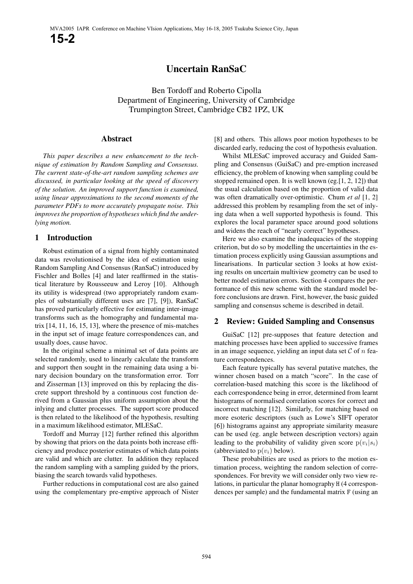# **Uncertain RanSaC**

Ben Tordoff and Roberto Cipolla Department of Engineering, University of Cambridge Trumpington Street, Cambridge CB2 1PZ, UK

## **Abstract**

*This paper describes a new enhancement to the technique of estimation by Random Sampling and Consensus. The current state-of-the-art random sampling schemes are discussed, in particular looking at the speed of discovery of the solution. An improved support function is examined, using linear approximations to the second moments of the parameter PDFs to more accurately propagate noise. This improves the proportion of hypotheses which find the underlying motion.*

## **1 Introduction**

Robust estimation of a signal from highly contaminated data was revolutionised by the idea of estimation using Random Sampling And Consensus (RanSaC) introduced by Fischler and Bolles [4] and later reaffirmed in the statistical literature by Rousseeuw and Leroy [10]. Although its utility is widespread (two appropriately random examples of substantially different uses are [7], [9]), RanSaC has proved particularly effective for estimating inter-image transforms such as the homography and fundamental matrix  $[14, 11, 16, 15, 13]$ , where the presence of mis-matches in the input set of image feature correspondences can, and usually does, cause havoc.

In the original scheme a minimal set of data points are selected randomly, used to linearly calculate the transform and support then sought in the remaining data using a binary decision boundary on the transformation error. Torr and Zisserman [13] improved on this by replacing the discrete support threshold by a continuous cost function derived from a Gaussian plus uniform assumption about the inlying and clutter processes. The support score produced is then related to the likelihood of the hypothesis, resulting in a maximum likelihood estimator, MLESaC.

Tordoff and Murray [12] further refined this algorithm by showing that priors on the data points both increase efficiency and produce posterior estimates of which data points are valid and which are clutter. In addition they replaced the random sampling with a sampling guided by the priors, biasing the search towards valid hypotheses.

Further reductions in computational cost are also gained using the complementary pre-emptive approach of Nister

[8] and others. This allows poor motion hypotheses to be discarded early, reducing the cost of hypothesis evaluation.

Whilst MLESaC improved accuracy and Guided Sampling and Consensus (GuiSaC) and pre-emption increased efficiency, the problem of knowing when sampling could be stopped remained open. It is well known (eg.  $[1, 2, 12]$ ) that the usual calculation based on the proportion of valid data was often dramatically over-optimistic. Chum *et al* [1, 2] addressed this problem by resampling from the set of inlying data when a well supported hypothesis is found. This explores the local parameter space around good solutions and widens the reach of "nearly correct" hypotheses.

Here we also examine the inadequacies of the stopping criterion, but do so by modelling the uncertainties in the estimation process explicitly using Gaussian assumptions and linearisations. In particular section 3 looks at how existing results on uncertain multiview geometry can be used to better model estimation errors. Section 4 compares the performance of this new scheme with the standard model before conclusions are drawn. First, however, the basic guided sampling and consensus scheme is described in detail.

## **2 Review: Guided Sampling and Consensus**

GuiSaC [12] pre-supposes that feature detection and matching processes have been applied to successive frames in an image sequence, yielding an input data set  $\mathcal C$  of  $n$  feature correspondences.

Each feature typically has several putative matches, the winner chosen based on a match "score". In the case of correlation-based matching this score is the likelihood of each correspondence being in error, determined from learnt histograms of normalised correlation scores for correct and incorrect matching [12]. Similarly, for matching based on more esoteric descriptors (such as Lowe's SIFT operator [6]) histograms against any appropriate similarity measure can be used (eg. angle between description vectors) again leading to the probability of validity given score  $p(v_i|s_i)$ (abbreviated to  $p(v_i)$  below).

These probabilities are used as priors to the motion estimation process, weighting the random selection of correspondences. For brevity we will consider only two view relations, in particular the planar homography H (4 correspondences per sample) and the fundamental matrix F (using an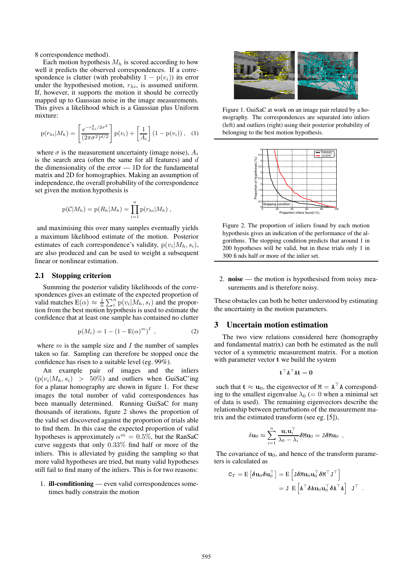8 correspondence method).

Each motion hypothesis  $M_h$  is scored according to how well it predicts the observed correspondences. If a correspondence is clutter (with probability  $1 - p(v_i)$ ) its error under the hypothesised motion,  $r_{hi}$ , is assumed uniform. If, however, it supports the motion it should be correctly mapped up to Gaussian noise in the image measurements. This gives a likelihood which is a Gaussian plus Uniform mixture:

$$
p(r_{hi}|M_h) = \left[\frac{e^{-r_{hi}^2/2\sigma^2}}{(2\pi\sigma^2)^{d/2}}\right]p(v_i) + \left[\frac{1}{A_i}\right](1-p(v_i)), \quad (1)
$$

where  $\sigma$  is the measurement uncertainty (image noise),  $A_i$ is the search area (often the same for all features) and  $d$ the dimensionality of the error — 1D for the fundamental matrix and 2D for homographies. Making an assumption of independence, the overall probability of the correspondence set given the motion hypothesis is

$$
p(C|M_h) = p(R_h|M_h) = \prod_{i=1}^n p(r_{hi}|M_h) ,
$$

and maximising this over many samples eventually yields a maximum likelihood estimate of the motion. Posterior estimates of each correspondence's validity,  $p(v_i|M_h, s_i)$ , are also produced and can be used to weight a subsequent linear or nonlinear estimation.

#### **2.1 Stopping criterion**

Summing the posterior validity likelihoods of the correspondences gives an estimate of the expected proportion of valid matches  $E(\alpha) \approx \frac{1}{n} \sum_{i}^{n} p(v_i|M_h, s_i)$  and the proportion from the best motion hypothesis is used to estimate the confidence that at least one sample has contained no clutter

$$
p(M_c) = 1 - (1 - E(\alpha)^m)^I , \qquad (2)
$$

where  $m$  is the sample size and  $I$  the number of samples taken so far. Sampling can therefore be stopped once the confidence has risen to a suitable level (eg. 99%).

An example pair of images and the inliers  $(p(v_i|M_h, s_i) > 50\%)$  and outliers when GuiSaC'ing for a planar homography are shown in figure 1. For these images the total number of valid correspondences has been manually determined. Running GuiSaC for many thousands of iterations, figure 2 shows the proportion of the valid set discovered against the proportion of trials able to find them. In this case the expected proportion of valid hypotheses is approximately  $\alpha^m = 0.5\%$ , but the RanSaC curve suggests that only  $0.33\%$  find half or more of the inliers. This is alleviated by guiding the sampling so that more valid hypotheses are tried, but many valid hypotheses still fail to find many of the inliers. This is for two reasons:

1. **ill-conditioning** — even valid correspondences sometimes badly constrain the motion



Figure 1. GuiSaC at work on an image pair related by a homography. The correspondences are separated into inliers (left) and outliers (right) using their posterior probability of belonging to the best motion hypothesis.



Figure 2. The proportion of inliers found by each motion hypothesis gives an indication of the performance of the algorithms. The stopping condition predicts that around 1 in 200 hypotheses will be valid, but in these trials only 1 in 300 fi nds half or more of the inlier set.

2. **noise** — the motion is hypothesised from noisy measurements and is therefore noisy.

These obstacles can both be better understood by estimating the uncertainty in the motion parameters.

## **3 Uncertain motion estimation**

The two view relations considered here (homography and fundamental matrix) can both be estimated as the null vector of a symmetric measurement matrix. For a motion with parameter vector t we build the system

$$
\mathbf{t}^\top \mathbf{A}^\top \mathbf{A} \mathbf{t} = \mathbf{0}
$$

such that  $\mathbf{t} \approx \mathbf{u}_0$ , the eigenvector of  $M = A^{\top} A$  corresponding to the smallest eigenvalue  $\lambda_0$  (= 0 when a minimal set of data is used). The remaining eigenvectors describe the relationship between perturbations of the measurement matrix and the estimated transform (see eg. [5]),

$$
\delta {\bf u}_0 \approx \sum_{i=1}^n \frac{{\bf u}_i {\bf u}_i^\top}{\lambda_0 - \lambda_i} \delta {\tt Mu}_0 = {\tt J} \delta {\tt Mu}_0 \enspace ,
$$

The covariance of  $\mathbf{u}_0$ , and hence of the transform parameters is calculated as

$$
C_T = E \left[ \boldsymbol{\delta u}_0 \boldsymbol{\delta u}_0^\top \right] = E \left[ J \boldsymbol{\delta M u}_0 \boldsymbol{u}_0^\top \boldsymbol{\delta M}^\top \boldsymbol{J}^\top \right] = J E \left[ A^\top \boldsymbol{\delta A u}_0 \boldsymbol{u}_0^\top \boldsymbol{\delta A}^\top \boldsymbol{A} \right] \boldsymbol{J}^\top .
$$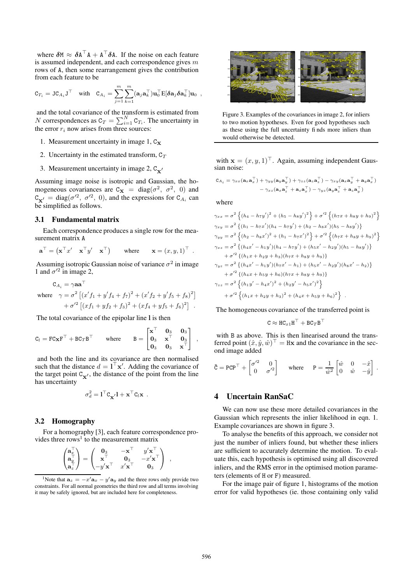where  $\delta M \approx \delta A^T A + A^T \delta A$ . If the noise on each feature is assumed independent, and each correspondence gives  $m$ rows of A, then some rearrangement gives the contribution from each feature to be

$$
\mathtt{C}_{T_i} = \mathtt{JC}_{A_i} \mathtt{J}^\top \quad \text{with} \quad \mathtt{C}_{A_i} = \sum_{j=1}^m \sum_{k=1}^m (\mathbf{a}_j \mathbf{a}_k^\top) \mathbf{u}_0^\top \mathtt{E} [\delta \mathbf{a}_j \delta \mathbf{a}_k^\top] \mathbf{u}_0 \enspace ,
$$

and the total covariance of the transform is estimated from N correspondences as  $C_T = \sum_{i=1}^{N} C_{T_i}$ . The uncertainty in the error  $r_i$  now arises from three sources:

- 1. Measurement uncertainty in image  $1, C_{\mathbf{X}}$
- 2. Uncertainty in the estimated transform,  $C_T$
- 3. Measurement uncertainty in image 2,  $C_{\mathbf{x}'}$

Assuming image noise is isotropic and Gaussian, the homogeneous covariances are  $C_{\mathbf{X}} = diag(\sigma^2, \sigma^2, 0)$  and  $C_{\mathbf{x}'} = \text{diag}(\sigma'^2, \sigma'^2, 0)$ , and the expressions for  $C_{A_i}$  can be simplified as follows.

#### **3.1 Fundamental matrix**

Each correspondence produces a single row for the measurement matrix A

$$
\mathbf{a}^{\top} = \begin{pmatrix} \mathbf{x}^{\top} x' & \mathbf{x}^{\top} y' & \mathbf{x}^{\top} \end{pmatrix} \text{ where } \mathbf{x} = (x, y, 1)^{\top}.
$$

Assuming isotropic Gaussian noise of variance  $\sigma^2$  in image 1 and  $\sigma'^2$  in image 2,

$$
C_{A_i} = \gamma \mathbf{aa}^\top
$$
  
where  $\gamma = \sigma^2 [(x' f_1 + y' f_4 + f_7)^2 + (x' f_2 + y' f_5 + f_8)^2]$   
 $+ \sigma'^2 [(x f_1 + y f_2 + f_3)^2 + (x f_4 + y f_5 + f_6)^2]$ .

The total covariance of the epipolar line l is then

$$
\mathtt{C}_l=\mathtt{FC_XF}^\top+\mathtt{BC}_T\mathtt{B}^\top\qquad\text{where}\qquad \mathtt{B}=\begin{bmatrix} \mathtt{x}^\top&\mathtt{0}_3&\mathtt{0}_3\\ \mathtt{0}_3&\mathtt{x}^\top&\mathtt{0}_3\\ \mathtt{0}_3&\mathtt{0}_3&\mathtt{x}^\top \end{bmatrix}\enspace,
$$

and both the line and its covariance are then normalised such that the distance  $d = \mathbf{l}^\top \mathbf{x}'$ . Adding the covariance of the target point  $C_{\mathbf{x}'}$ , the distance of the point from the line has uncertainty

$$
\sigma_d^2 = \mathbf{1}^\top \mathbf{C}_{\mathbf{X}'} \mathbf{1} + \mathbf{x}^\top \mathbf{C}_l \mathbf{x}.
$$

#### **3.2 Homography**

For a homography [3], each feature correspondence provides three rows<sup>1</sup> to the measurement matrix

$$
\begin{pmatrix} \mathbf{a}_x^\top \\ \mathbf{a}_y^\top \\ \mathbf{a}_z^\top \end{pmatrix} = \begin{pmatrix} \mathbf{0}_3 & -\mathbf{x}^\top & y'\mathbf{x}^\top \\ \mathbf{x}^\top & \mathbf{0}_3 & -x'\mathbf{x}^\top \\ -y'\mathbf{x}^\top & x'\mathbf{x}^\top & \mathbf{0}_3 \end{pmatrix} ,
$$



Figure 3. Examples of the covariances in image 2, for inliers to two motion hypotheses. Even for good hypotheses such as these using the full uncertainty fi nds more inliers than would otherwise be detected.

with  $\mathbf{x} = (x, y, 1)^\top$ . Again, assuming independent Gaussian noise:

$$
\begin{aligned} \mathtt{C}_{A_i} = \gamma_{xx}(\mathbf{a}_x \mathbf{a}_x^\top) + \gamma_{yy}(\mathbf{a}_y \mathbf{a}_y^\top) + \gamma_{zz}(\mathbf{a}_z \mathbf{a}_z^\top) - \gamma_{xy}(\mathbf{a}_x \mathbf{a}_y^\top + \mathbf{a}_y \mathbf{a}_x^\top) \\ &- \gamma_{xz}(\mathbf{a}_x \mathbf{a}_x^\top + \mathbf{a}_z \mathbf{a}_x^\top) - \gamma_{yz}(\mathbf{a}_y \mathbf{a}_z^\top + \mathbf{a}_z \mathbf{a}_y^\top) \end{aligned}
$$

where

$$
\gamma_{xx} = \sigma^2 \left\{ (h_4 - h_7 y')^2 + (h_5 - h_8 y')^2 \right\} + \sigma'^2 \left\{ (h_7 x + h_8 y + h_9)^2 \right\}
$$
  
\n
$$
\gamma_{xy} = \sigma^2 \left\{ (h_1 - h_7 x') (h_4 - h_7 y') + (h_2 - h_8 x') (h_5 - h_8 y') \right\}
$$
  
\n
$$
\gamma_{yy} = \sigma^2 \left\{ (h_2 - h_8 x')^2 + (h_1 - h_7 x')^2 \right\} + \sigma'^2 \left\{ (h_7 x + h_8 y + h_9)^2 \right\}
$$
  
\n
$$
\gamma_{xz} = \sigma^2 \left\{ (h_4 x' - h_1 y') (h_4 - h_7 y') + (h_5 x' - h_2 y') (h_5 - h_8 y') \right\}
$$
  
\n
$$
+ \sigma'^2 \left\{ (h_1 x + h_2 y + h_3) (h_7 x + h_8 y + h_9) \right\}
$$
  
\n
$$
\gamma_{yz} = \sigma^2 \left\{ (h_4 x' - h_1 y') (h_7 x' - h_1) + (h_5 x' - h_2 y') (h_8 x' - h_2) \right\}
$$
  
\n
$$
+ \sigma'^2 \left\{ (h_4 x + h_5 y + h_6) (h_7 x + h_8 y + h_9) \right\}
$$
  
\n
$$
\gamma_{zz} = \sigma^2 \left\{ (h_1 y' - h_4 x')^2 + (h_2 y' - h_5 x')^2 \right\}
$$
  
\n
$$
+ \sigma'^2 \left\{ (h_1 x + h_2 y + h_3)^2 + (h_4 x + h_5 y + h_6)^2 \right\}.
$$

The homogeneous covariance of the transferred point is

$$
\mathtt{C} \approx \mathtt{HC}_{x1} \mathtt{H}^\top + \mathtt{BC}_T \mathtt{B}^\top
$$

with B as above. This is then linearised around the transferred point  $(\hat{x}, \hat{y}, \hat{w})^{\top} = Hx$  and the covariance in the second image added

$$
\tilde{\mathbf{C}} = \mathbf{PCP}^{\top} + \begin{bmatrix} \sigma'^2 & 0 \\ 0 & \sigma'^2 \end{bmatrix} \quad \text{where} \quad \mathbf{P} = \frac{1}{\hat{w}^2} \begin{bmatrix} \hat{w} & 0 & -\hat{x} \\ 0 & \hat{w} & -\hat{y} \end{bmatrix}.
$$

#### **4 Uncertain RanSaC**

We can now use these more detailed covariances in the Gaussian which represents the inlier likelihood in eqn. 1. Example covariances are shown in figure 3.

To analyse the benefits of this approach, we consider not just the number of inliers found, but whether these inliers are sufficient to accurately determine the motion. To evaluate this, each hypothesis is optimised using all discovered inliers, and the RMS error in the optimised motion parameters (elements of H or F) measured.

For the image pair of figure 1, histograms of the motion error for valid hypotheses (ie. those containing only valid

<sup>&</sup>lt;sup>1</sup>Note that  $\mathbf{a}_z = -x'\mathbf{a}_x - y'\mathbf{a}_y$  and the three rows only provide two constraints. For all normal geometries the third row and all terms involving it may be safely ignored, but are included here for completeness.